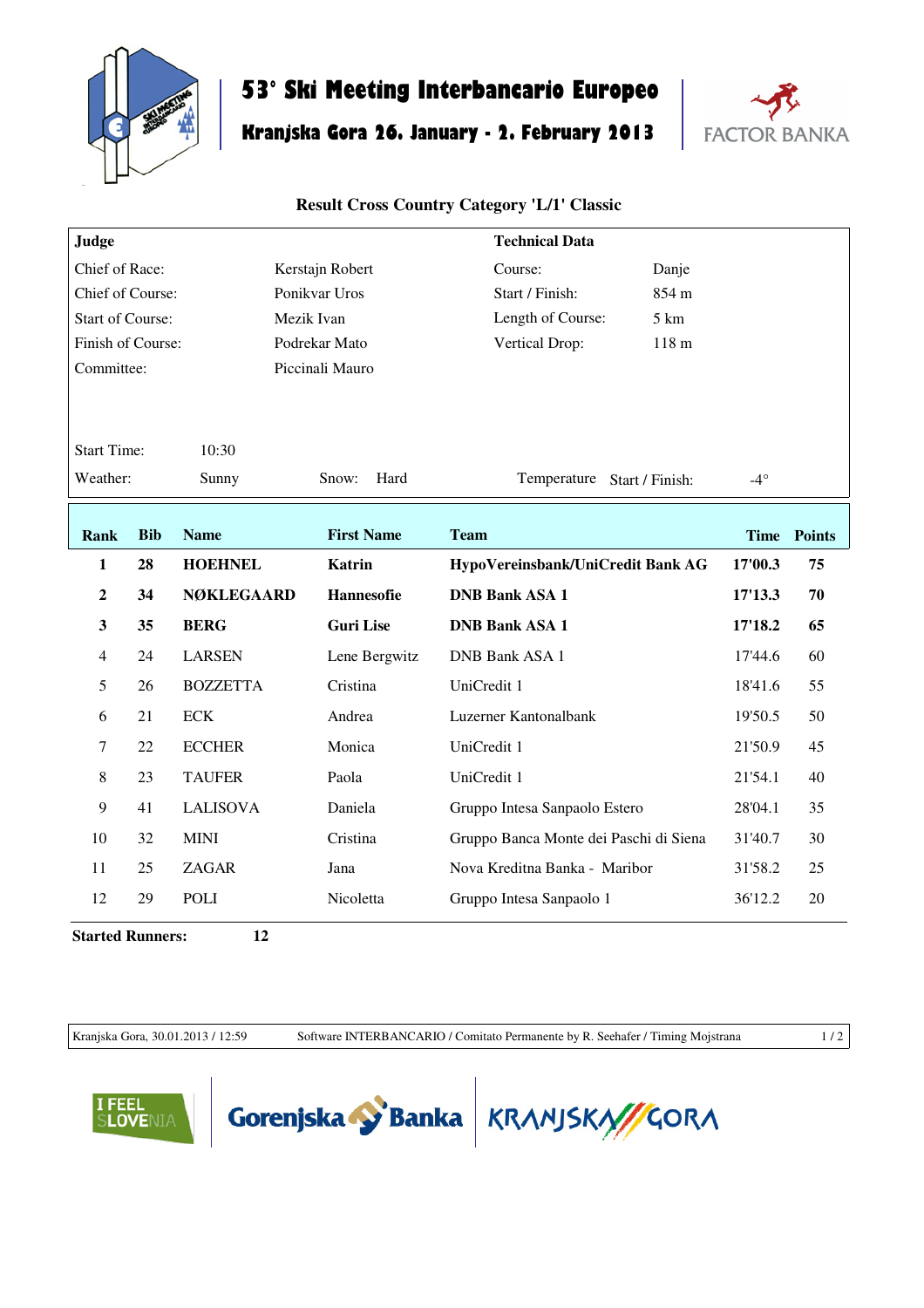

## **53° Ski Meeting Interbancario Europeo**

## **Kranjska Gora 26. January - 2. February 2013**



## **Result Cross Country Category 'L/1' Classic**

| Judge                   |            |                   |                   | <b>Technical Data</b>                  |             |               |
|-------------------------|------------|-------------------|-------------------|----------------------------------------|-------------|---------------|
| Chief of Race:          |            |                   | Kerstajn Robert   | Course:<br>Danje                       |             |               |
| Chief of Course:        |            |                   | Ponikvar Uros     | 854 m<br>Start / Finish:               |             |               |
| <b>Start of Course:</b> |            |                   | Mezik Ivan        | Length of Course:<br>5 km              |             |               |
| Finish of Course:       |            |                   | Podrekar Mato     | 118 <sub>m</sub><br>Vertical Drop:     |             |               |
| Committee:              |            |                   | Piccinali Mauro   |                                        |             |               |
|                         |            |                   |                   |                                        |             |               |
| <b>Start Time:</b>      |            | 10:30             |                   |                                        |             |               |
| Weather:                |            | Sunny             | Hard<br>Snow:     | Temperature Start / Finish:            | $-4^\circ$  |               |
|                         |            |                   |                   |                                        |             |               |
| <b>Rank</b>             | <b>Bib</b> | <b>Name</b>       | <b>First Name</b> | <b>Team</b>                            | <b>Time</b> | <b>Points</b> |
| 1                       | 28         | <b>HOEHNEL</b>    | <b>Katrin</b>     | HypoVereinsbank/UniCredit Bank AG      | 17'00.3     | 75            |
| $\overline{2}$          | 34         | <b>NØKLEGAARD</b> | Hannesofie        | <b>DNB Bank ASA 1</b>                  | 17'13.3     | 70            |
| 3                       |            |                   |                   |                                        |             |               |
|                         | 35         | <b>BERG</b>       | <b>Guri Lise</b>  | <b>DNB Bank ASA 1</b>                  | 17'18.2     | 65            |
| $\overline{4}$          | 24         | <b>LARSEN</b>     | Lene Bergwitz     | <b>DNB Bank ASA 1</b>                  | 17'44.6     | 60            |
| 5                       | 26         | <b>BOZZETTA</b>   | Cristina          | UniCredit 1                            | 18'41.6     | 55            |
| 6                       | 21         | <b>ECK</b>        | Andrea            | Luzerner Kantonalbank                  | 19'50.5     | 50            |
| 7                       | 22         | <b>ECCHER</b>     | Monica            | UniCredit 1                            | 21'50.9     | 45            |
| 8                       | 23         | <b>TAUFER</b>     | Paola             | UniCredit 1                            | 21'54.1     | 40            |
| 9                       | 41         | <b>LALISOVA</b>   | Daniela           | Gruppo Intesa Sanpaolo Estero          | 28'04.1     | 35            |
| 10                      | 32         | <b>MINI</b>       | Cristina          | Gruppo Banca Monte dei Paschi di Siena | 31'40.7     | 30            |
| 11                      | 25         | ZAGAR             | Jana              | Nova Kreditna Banka - Maribor          | 31'58.2     | 25            |
| 12                      | 29         | POLI              | Nicoletta         | Gruppo Intesa Sanpaolo 1               | 36'12.2     | 20            |

**Started Runners: 12**

Kranjska Gora, 30.01.2013 / 12:59 Software INTERBANCARIO / Comitato Permanente by R. Seehafer / Timing Mojstrana 1 / 2